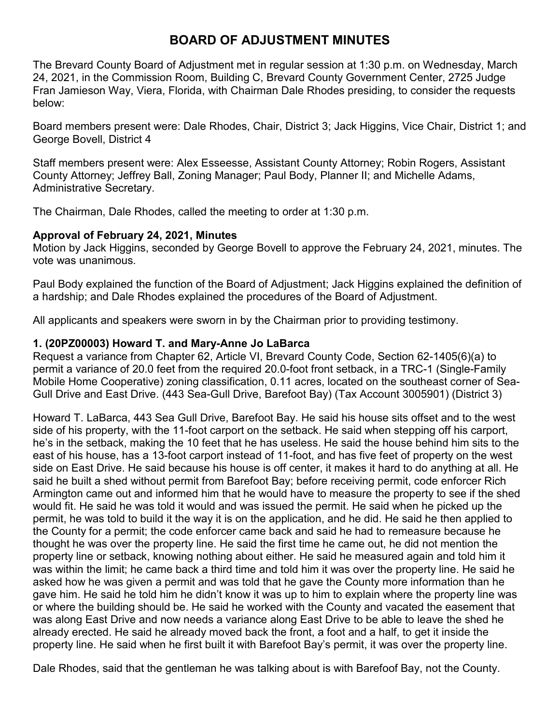# **BOARD OF ADJUSTMENT MINUTES**

The Brevard County Board of Adjustment met in regular session at 1:30 p.m. on Wednesday, March 24, 2021, in the Commission Room, Building C, Brevard County Government Center, 2725 Judge Fran Jamieson Way, Viera, Florida, with Chairman Dale Rhodes presiding, to consider the requests below:

Board members present were: Dale Rhodes, Chair, District 3; Jack Higgins, Vice Chair, District 1; and George Bovell, District 4

Staff members present were: Alex Esseesse, Assistant County Attorney; Robin Rogers, Assistant County Attorney; Jeffrey Ball, Zoning Manager; Paul Body, Planner II; and Michelle Adams, Administrative Secretary.

The Chairman, Dale Rhodes, called the meeting to order at 1:30 p.m.

#### **Approval of February 24, 2021, Minutes**

Motion by Jack Higgins, seconded by George Bovell to approve the February 24, 2021, minutes. The vote was unanimous.

Paul Body explained the function of the Board of Adjustment; Jack Higgins explained the definition of a hardship; and Dale Rhodes explained the procedures of the Board of Adjustment.

All applicants and speakers were sworn in by the Chairman prior to providing testimony.

## **1. (20PZ00003) Howard T. and Mary-Anne Jo LaBarca**

Request a variance from Chapter 62, Article VI, Brevard County Code, Section 62-1405(6)(a) to permit a variance of 20.0 feet from the required 20.0-foot front setback, in a TRC-1 (Single-Family Mobile Home Cooperative) zoning classification, 0.11 acres, located on the southeast corner of Sea-Gull Drive and East Drive. (443 Sea-Gull Drive, Barefoot Bay) (Tax Account 3005901) (District 3)

Howard T. LaBarca, 443 Sea Gull Drive, Barefoot Bay. He said his house sits offset and to the west side of his property, with the 11-foot carport on the setback. He said when stepping off his carport, he's in the setback, making the 10 feet that he has useless. He said the house behind him sits to the east of his house, has a 13-foot carport instead of 11-foot, and has five feet of property on the west side on East Drive. He said because his house is off center, it makes it hard to do anything at all. He said he built a shed without permit from Barefoot Bay; before receiving permit, code enforcer Rich Armington came out and informed him that he would have to measure the property to see if the shed would fit. He said he was told it would and was issued the permit. He said when he picked up the permit, he was told to build it the way it is on the application, and he did. He said he then applied to the County for a permit; the code enforcer came back and said he had to remeasure because he thought he was over the property line. He said the first time he came out, he did not mention the property line or setback, knowing nothing about either. He said he measured again and told him it was within the limit; he came back a third time and told him it was over the property line. He said he asked how he was given a permit and was told that he gave the County more information than he gave him. He said he told him he didn't know it was up to him to explain where the property line was or where the building should be. He said he worked with the County and vacated the easement that was along East Drive and now needs a variance along East Drive to be able to leave the shed he already erected. He said he already moved back the front, a foot and a half, to get it inside the property line. He said when he first built it with Barefoot Bay's permit, it was over the property line.

Dale Rhodes, said that the gentleman he was talking about is with Barefoof Bay, not the County.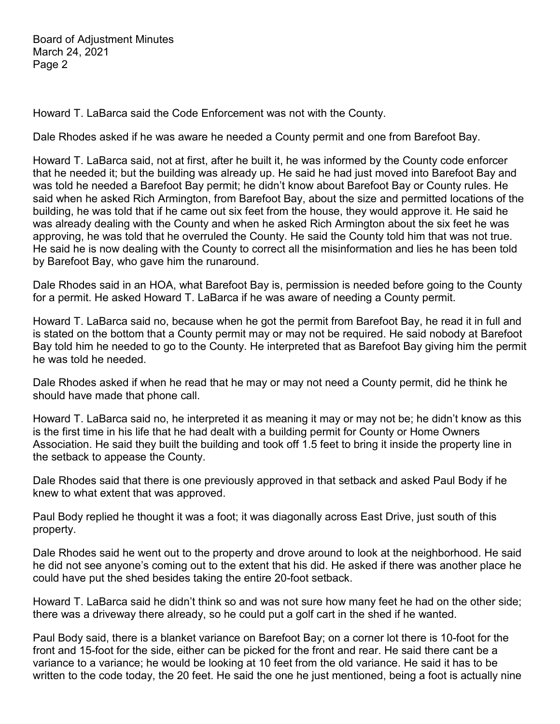Howard T. LaBarca said the Code Enforcement was not with the County.

Dale Rhodes asked if he was aware he needed a County permit and one from Barefoot Bay.

Howard T. LaBarca said, not at first, after he built it, he was informed by the County code enforcer that he needed it; but the building was already up. He said he had just moved into Barefoot Bay and was told he needed a Barefoot Bay permit; he didn't know about Barefoot Bay or County rules. He said when he asked Rich Armington, from Barefoot Bay, about the size and permitted locations of the building, he was told that if he came out six feet from the house, they would approve it. He said he was already dealing with the County and when he asked Rich Armington about the six feet he was approving, he was told that he overruled the County. He said the County told him that was not true. He said he is now dealing with the County to correct all the misinformation and lies he has been told by Barefoot Bay, who gave him the runaround.

Dale Rhodes said in an HOA, what Barefoot Bay is, permission is needed before going to the County for a permit. He asked Howard T. LaBarca if he was aware of needing a County permit.

Howard T. LaBarca said no, because when he got the permit from Barefoot Bay, he read it in full and is stated on the bottom that a County permit may or may not be required. He said nobody at Barefoot Bay told him he needed to go to the County. He interpreted that as Barefoot Bay giving him the permit he was told he needed.

Dale Rhodes asked if when he read that he may or may not need a County permit, did he think he should have made that phone call.

Howard T. LaBarca said no, he interpreted it as meaning it may or may not be; he didn't know as this is the first time in his life that he had dealt with a building permit for County or Home Owners Association. He said they built the building and took off 1.5 feet to bring it inside the property line in the setback to appease the County.

Dale Rhodes said that there is one previously approved in that setback and asked Paul Body if he knew to what extent that was approved.

Paul Body replied he thought it was a foot; it was diagonally across East Drive, just south of this property.

Dale Rhodes said he went out to the property and drove around to look at the neighborhood. He said he did not see anyone's coming out to the extent that his did. He asked if there was another place he could have put the shed besides taking the entire 20-foot setback.

Howard T. LaBarca said he didn't think so and was not sure how many feet he had on the other side; there was a driveway there already, so he could put a golf cart in the shed if he wanted.

Paul Body said, there is a blanket variance on Barefoot Bay; on a corner lot there is 10-foot for the front and 15-foot for the side, either can be picked for the front and rear. He said there cant be a variance to a variance; he would be looking at 10 feet from the old variance. He said it has to be written to the code today, the 20 feet. He said the one he just mentioned, being a foot is actually nine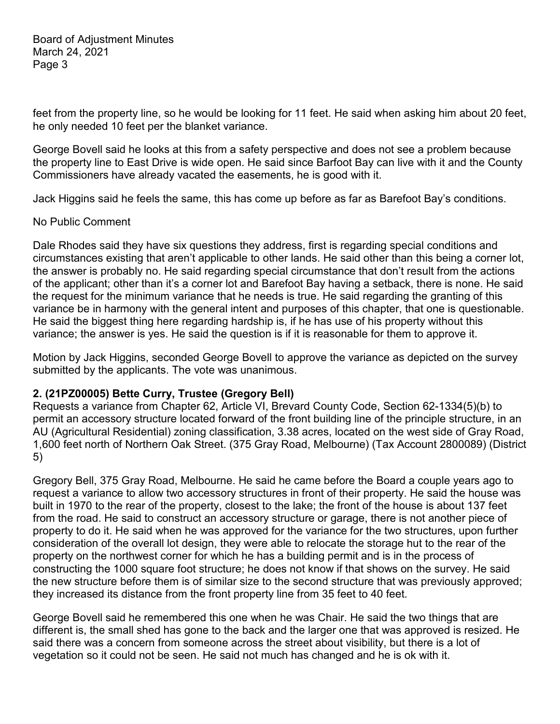feet from the property line, so he would be looking for 11 feet. He said when asking him about 20 feet, he only needed 10 feet per the blanket variance.

George Bovell said he looks at this from a safety perspective and does not see a problem because the property line to East Drive is wide open. He said since Barfoot Bay can live with it and the County Commissioners have already vacated the easements, he is good with it.

Jack Higgins said he feels the same, this has come up before as far as Barefoot Bay's conditions.

#### No Public Comment

Dale Rhodes said they have six questions they address, first is regarding special conditions and circumstances existing that aren't applicable to other lands. He said other than this being a corner lot, the answer is probably no. He said regarding special circumstance that don't result from the actions of the applicant; other than it's a corner lot and Barefoot Bay having a setback, there is none. He said the request for the minimum variance that he needs is true. He said regarding the granting of this variance be in harmony with the general intent and purposes of this chapter, that one is questionable. He said the biggest thing here regarding hardship is, if he has use of his property without this variance; the answer is yes. He said the question is if it is reasonable for them to approve it.

Motion by Jack Higgins, seconded George Bovell to approve the variance as depicted on the survey submitted by the applicants. The vote was unanimous.

## **2. (21PZ00005) Bette Curry, Trustee (Gregory Bell)**

Requests a variance from Chapter 62, Article VI, Brevard County Code, Section 62-1334(5)(b) to permit an accessory structure located forward of the front building line of the principle structure, in an AU (Agricultural Residential) zoning classification, 3.38 acres, located on the west side of Gray Road, 1,600 feet north of Northern Oak Street. (375 Gray Road, Melbourne) (Tax Account 2800089) (District 5)

Gregory Bell, 375 Gray Road, Melbourne. He said he came before the Board a couple years ago to request a variance to allow two accessory structures in front of their property. He said the house was built in 1970 to the rear of the property, closest to the lake; the front of the house is about 137 feet from the road. He said to construct an accessory structure or garage, there is not another piece of property to do it. He said when he was approved for the variance for the two structures, upon further consideration of the overall lot design, they were able to relocate the storage hut to the rear of the property on the northwest corner for which he has a building permit and is in the process of constructing the 1000 square foot structure; he does not know if that shows on the survey. He said the new structure before them is of similar size to the second structure that was previously approved; they increased its distance from the front property line from 35 feet to 40 feet.

George Bovell said he remembered this one when he was Chair. He said the two things that are different is, the small shed has gone to the back and the larger one that was approved is resized. He said there was a concern from someone across the street about visibility, but there is a lot of vegetation so it could not be seen. He said not much has changed and he is ok with it.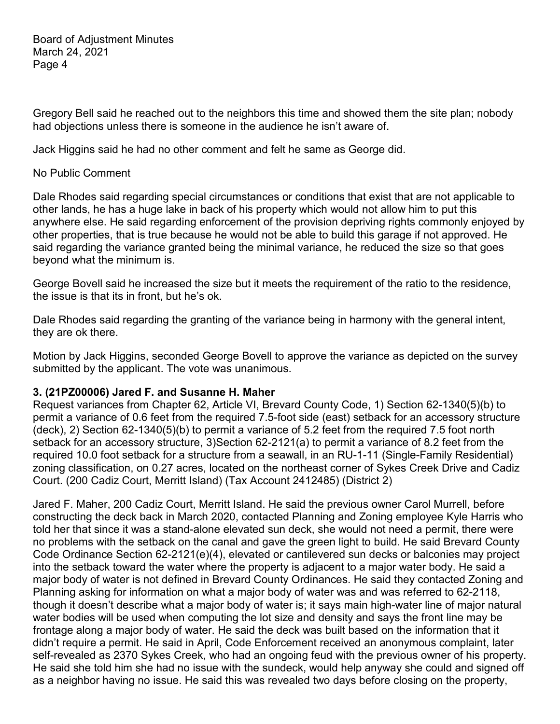Gregory Bell said he reached out to the neighbors this time and showed them the site plan; nobody had objections unless there is someone in the audience he isn't aware of.

Jack Higgins said he had no other comment and felt he same as George did.

### No Public Comment

Dale Rhodes said regarding special circumstances or conditions that exist that are not applicable to other lands, he has a huge lake in back of his property which would not allow him to put this anywhere else. He said regarding enforcement of the provision depriving rights commonly enjoyed by other properties, that is true because he would not be able to build this garage if not approved. He said regarding the variance granted being the minimal variance, he reduced the size so that goes beyond what the minimum is.

George Bovell said he increased the size but it meets the requirement of the ratio to the residence, the issue is that its in front, but he's ok.

Dale Rhodes said regarding the granting of the variance being in harmony with the general intent, they are ok there.

Motion by Jack Higgins, seconded George Bovell to approve the variance as depicted on the survey submitted by the applicant. The vote was unanimous.

## **3. (21PZ00006) Jared F. and Susanne H. Maher**

Request variances from Chapter 62, Article VI, Brevard County Code, 1) Section 62-1340(5)(b) to permit a variance of 0.6 feet from the required 7.5-foot side (east) setback for an accessory structure (deck), 2) Section 62-1340(5)(b) to permit a variance of 5.2 feet from the required 7.5 foot north setback for an accessory structure, 3)Section 62-2121(a) to permit a variance of 8.2 feet from the required 10.0 foot setback for a structure from a seawall, in an RU-1-11 (Single-Family Residential) zoning classification, on 0.27 acres, located on the northeast corner of Sykes Creek Drive and Cadiz Court. (200 Cadiz Court, Merritt Island) (Tax Account 2412485) (District 2)

Jared F. Maher, 200 Cadiz Court, Merritt Island. He said the previous owner Carol Murrell, before constructing the deck back in March 2020, contacted Planning and Zoning employee Kyle Harris who told her that since it was a stand-alone elevated sun deck, she would not need a permit, there were no problems with the setback on the canal and gave the green light to build. He said Brevard County Code Ordinance Section 62-2121(e)(4), elevated or cantilevered sun decks or balconies may project into the setback toward the water where the property is adjacent to a major water body. He said a major body of water is not defined in Brevard County Ordinances. He said they contacted Zoning and Planning asking for information on what a major body of water was and was referred to 62-2118, though it doesn't describe what a major body of water is; it says main high-water line of major natural water bodies will be used when computing the lot size and density and says the front line may be frontage along a major body of water. He said the deck was built based on the information that it didn't require a permit. He said in April, Code Enforcement received an anonymous complaint, later self-revealed as 2370 Sykes Creek, who had an ongoing feud with the previous owner of his property. He said she told him she had no issue with the sundeck, would help anyway she could and signed off as a neighbor having no issue. He said this was revealed two days before closing on the property,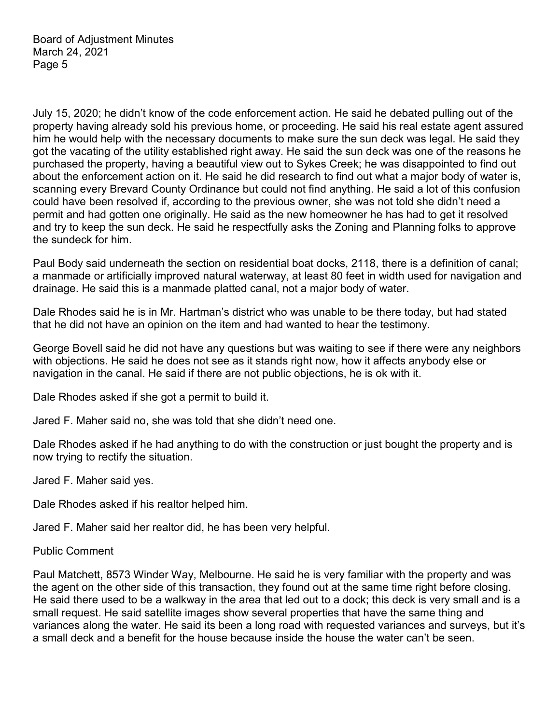July 15, 2020; he didn't know of the code enforcement action. He said he debated pulling out of the property having already sold his previous home, or proceeding. He said his real estate agent assured him he would help with the necessary documents to make sure the sun deck was legal. He said they got the vacating of the utility established right away. He said the sun deck was one of the reasons he purchased the property, having a beautiful view out to Sykes Creek; he was disappointed to find out about the enforcement action on it. He said he did research to find out what a major body of water is, scanning every Brevard County Ordinance but could not find anything. He said a lot of this confusion could have been resolved if, according to the previous owner, she was not told she didn't need a permit and had gotten one originally. He said as the new homeowner he has had to get it resolved and try to keep the sun deck. He said he respectfully asks the Zoning and Planning folks to approve the sundeck for him.

Paul Body said underneath the section on residential boat docks, 2118, there is a definition of canal; a manmade or artificially improved natural waterway, at least 80 feet in width used for navigation and drainage. He said this is a manmade platted canal, not a major body of water.

Dale Rhodes said he is in Mr. Hartman's district who was unable to be there today, but had stated that he did not have an opinion on the item and had wanted to hear the testimony.

George Bovell said he did not have any questions but was waiting to see if there were any neighbors with objections. He said he does not see as it stands right now, how it affects anybody else or navigation in the canal. He said if there are not public objections, he is ok with it.

Dale Rhodes asked if she got a permit to build it.

Jared F. Maher said no, she was told that she didn't need one.

Dale Rhodes asked if he had anything to do with the construction or just bought the property and is now trying to rectify the situation.

Jared F. Maher said yes.

Dale Rhodes asked if his realtor helped him.

Jared F. Maher said her realtor did, he has been very helpful.

Public Comment

Paul Matchett, 8573 Winder Way, Melbourne. He said he is very familiar with the property and was the agent on the other side of this transaction, they found out at the same time right before closing. He said there used to be a walkway in the area that led out to a dock; this deck is very small and is a small request. He said satellite images show several properties that have the same thing and variances along the water. He said its been a long road with requested variances and surveys, but it's a small deck and a benefit for the house because inside the house the water can't be seen.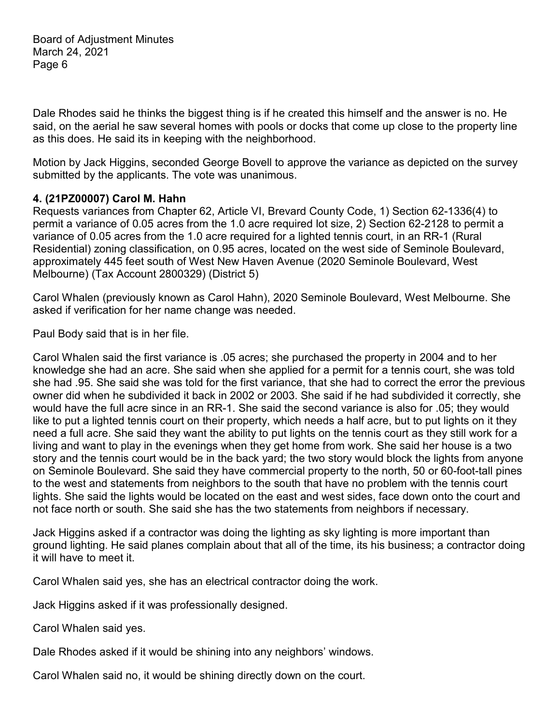Dale Rhodes said he thinks the biggest thing is if he created this himself and the answer is no. He said, on the aerial he saw several homes with pools or docks that come up close to the property line as this does. He said its in keeping with the neighborhood.

Motion by Jack Higgins, seconded George Bovell to approve the variance as depicted on the survey submitted by the applicants. The vote was unanimous.

## **4. (21PZ00007) Carol M. Hahn**

Requests variances from Chapter 62, Article VI, Brevard County Code, 1) Section 62-1336(4) to permit a variance of 0.05 acres from the 1.0 acre required lot size, 2) Section 62-2128 to permit a variance of 0.05 acres from the 1.0 acre required for a lighted tennis court, in an RR-1 (Rural Residential) zoning classification, on 0.95 acres, located on the west side of Seminole Boulevard, approximately 445 feet south of West New Haven Avenue (2020 Seminole Boulevard, West Melbourne) (Tax Account 2800329) (District 5)

Carol Whalen (previously known as Carol Hahn), 2020 Seminole Boulevard, West Melbourne. She asked if verification for her name change was needed.

Paul Body said that is in her file.

Carol Whalen said the first variance is .05 acres; she purchased the property in 2004 and to her knowledge she had an acre. She said when she applied for a permit for a tennis court, she was told she had .95. She said she was told for the first variance, that she had to correct the error the previous owner did when he subdivided it back in 2002 or 2003. She said if he had subdivided it correctly, she would have the full acre since in an RR-1. She said the second variance is also for .05; they would like to put a lighted tennis court on their property, which needs a half acre, but to put lights on it they need a full acre. She said they want the ability to put lights on the tennis court as they still work for a living and want to play in the evenings when they get home from work. She said her house is a two story and the tennis court would be in the back yard; the two story would block the lights from anyone on Seminole Boulevard. She said they have commercial property to the north, 50 or 60-foot-tall pines to the west and statements from neighbors to the south that have no problem with the tennis court lights. She said the lights would be located on the east and west sides, face down onto the court and not face north or south. She said she has the two statements from neighbors if necessary.

Jack Higgins asked if a contractor was doing the lighting as sky lighting is more important than ground lighting. He said planes complain about that all of the time, its his business; a contractor doing it will have to meet it.

Carol Whalen said yes, she has an electrical contractor doing the work.

Jack Higgins asked if it was professionally designed.

Carol Whalen said yes.

Dale Rhodes asked if it would be shining into any neighbors' windows.

Carol Whalen said no, it would be shining directly down on the court.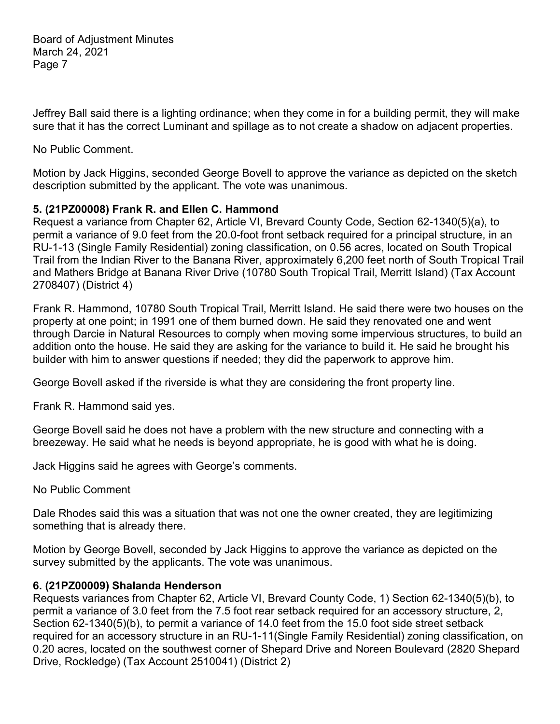Jeffrey Ball said there is a lighting ordinance; when they come in for a building permit, they will make sure that it has the correct Luminant and spillage as to not create a shadow on adjacent properties.

No Public Comment.

Motion by Jack Higgins, seconded George Bovell to approve the variance as depicted on the sketch description submitted by the applicant. The vote was unanimous.

# **5. (21PZ00008) Frank R. and Ellen C. Hammond**

Request a variance from Chapter 62, Article VI, Brevard County Code, Section 62-1340(5)(a), to permit a variance of 9.0 feet from the 20.0-foot front setback required for a principal structure, in an RU-1-13 (Single Family Residential) zoning classification, on 0.56 acres, located on South Tropical Trail from the Indian River to the Banana River, approximately 6,200 feet north of South Tropical Trail and Mathers Bridge at Banana River Drive (10780 South Tropical Trail, Merritt Island) (Tax Account 2708407) (District 4)

Frank R. Hammond, 10780 South Tropical Trail, Merritt Island. He said there were two houses on the property at one point; in 1991 one of them burned down. He said they renovated one and went through Darcie in Natural Resources to comply when moving some impervious structures, to build an addition onto the house. He said they are asking for the variance to build it. He said he brought his builder with him to answer questions if needed; they did the paperwork to approve him.

George Bovell asked if the riverside is what they are considering the front property line.

Frank R. Hammond said yes.

George Bovell said he does not have a problem with the new structure and connecting with a breezeway. He said what he needs is beyond appropriate, he is good with what he is doing.

Jack Higgins said he agrees with George's comments.

No Public Comment

Dale Rhodes said this was a situation that was not one the owner created, they are legitimizing something that is already there.

Motion by George Bovell, seconded by Jack Higgins to approve the variance as depicted on the survey submitted by the applicants. The vote was unanimous.

# **6. (21PZ00009) Shalanda Henderson**

Requests variances from Chapter 62, Article VI, Brevard County Code, 1) Section 62-1340(5)(b), to permit a variance of 3.0 feet from the 7.5 foot rear setback required for an accessory structure, 2, Section 62-1340(5)(b), to permit a variance of 14.0 feet from the 15.0 foot side street setback required for an accessory structure in an RU-1-11(Single Family Residential) zoning classification, on 0.20 acres, located on the southwest corner of Shepard Drive and Noreen Boulevard (2820 Shepard Drive, Rockledge) (Tax Account 2510041) (District 2)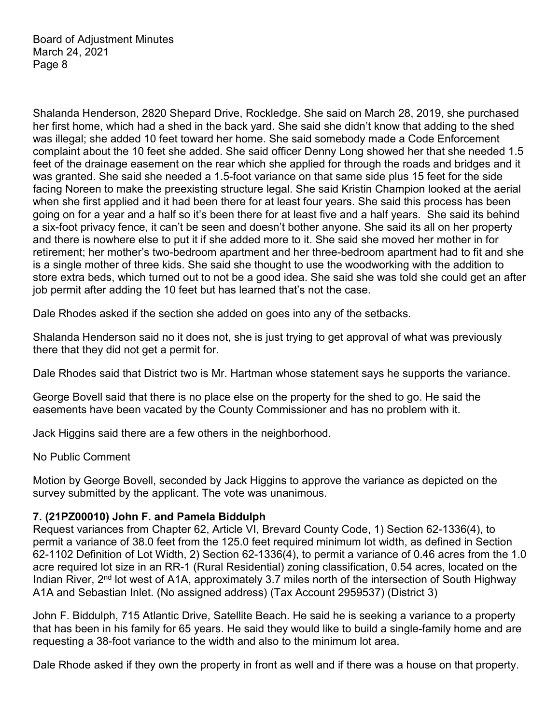Shalanda Henderson, 2820 Shepard Drive, Rockledge. She said on March 28, 2019, she purchased her first home, which had a shed in the back yard. She said she didn't know that adding to the shed was illegal; she added 10 feet toward her home. She said somebody made a Code Enforcement complaint about the 10 feet she added. She said officer Denny Long showed her that she needed 1.5 feet of the drainage easement on the rear which she applied for through the roads and bridges and it was granted. She said she needed a 1.5-foot variance on that same side plus 15 feet for the side facing Noreen to make the preexisting structure legal. She said Kristin Champion looked at the aerial when she first applied and it had been there for at least four years. She said this process has been going on for a year and a half so it's been there for at least five and a half years. She said its behind a six-foot privacy fence, it can't be seen and doesn't bother anyone. She said its all on her property and there is nowhere else to put it if she added more to it. She said she moved her mother in for retirement; her mother's two-bedroom apartment and her three-bedroom apartment had to fit and she is a single mother of three kids. She said she thought to use the woodworking with the addition to store extra beds, which turned out to not be a good idea. She said she was told she could get an after job permit after adding the 10 feet but has learned that's not the case.

Dale Rhodes asked if the section she added on goes into any of the setbacks.

Shalanda Henderson said no it does not, she is just trying to get approval of what was previously there that they did not get a permit for.

Dale Rhodes said that District two is Mr. Hartman whose statement says he supports the variance.

George Bovell said that there is no place else on the property for the shed to go. He said the easements have been vacated by the County Commissioner and has no problem with it.

Jack Higgins said there are a few others in the neighborhood.

## No Public Comment

Motion by George Bovell, seconded by Jack Higgins to approve the variance as depicted on the survey submitted by the applicant. The vote was unanimous.

## **7. (21PZ00010) John F. and Pamela Biddulph**

Request variances from Chapter 62, Article VI, Brevard County Code, 1) Section 62-1336(4), to permit a variance of 38.0 feet from the 125.0 feet required minimum lot width, as defined in Section 62-1102 Definition of Lot Width, 2) Section 62-1336(4), to permit a variance of 0.46 acres from the 1.0 acre required lot size in an RR-1 (Rural Residential) zoning classification, 0.54 acres, located on the Indian River, 2<sup>nd</sup> lot west of A1A, approximately 3.7 miles north of the intersection of South Highway A1A and Sebastian Inlet. (No assigned address) (Tax Account 2959537) (District 3)

John F. Biddulph, 715 Atlantic Drive, Satellite Beach. He said he is seeking a variance to a property that has been in his family for 65 years. He said they would like to build a single-family home and are requesting a 38-foot variance to the width and also to the minimum lot area.

Dale Rhode asked if they own the property in front as well and if there was a house on that property.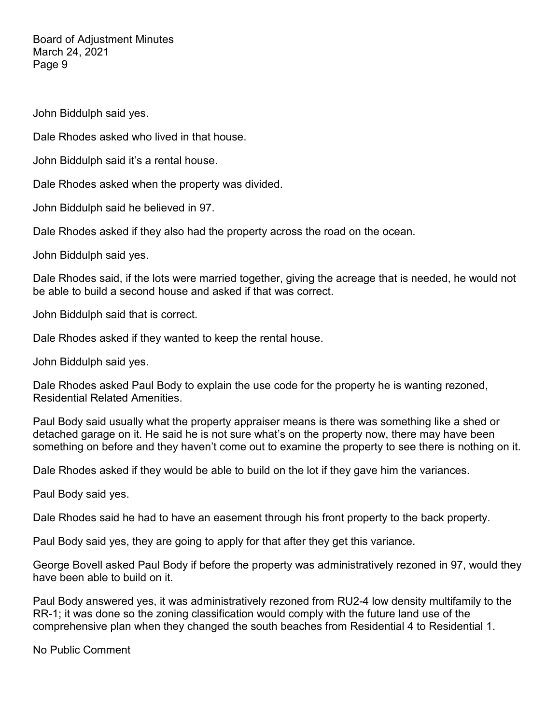John Biddulph said yes.

Dale Rhodes asked who lived in that house.

John Biddulph said it's a rental house.

Dale Rhodes asked when the property was divided.

John Biddulph said he believed in 97.

Dale Rhodes asked if they also had the property across the road on the ocean.

John Biddulph said yes.

Dale Rhodes said, if the lots were married together, giving the acreage that is needed, he would not be able to build a second house and asked if that was correct.

John Biddulph said that is correct.

Dale Rhodes asked if they wanted to keep the rental house.

John Biddulph said yes.

Dale Rhodes asked Paul Body to explain the use code for the property he is wanting rezoned, Residential Related Amenities.

Paul Body said usually what the property appraiser means is there was something like a shed or detached garage on it. He said he is not sure what's on the property now, there may have been something on before and they haven't come out to examine the property to see there is nothing on it.

Dale Rhodes asked if they would be able to build on the lot if they gave him the variances.

Paul Body said yes.

Dale Rhodes said he had to have an easement through his front property to the back property.

Paul Body said yes, they are going to apply for that after they get this variance.

George Bovell asked Paul Body if before the property was administratively rezoned in 97, would they have been able to build on it.

Paul Body answered yes, it was administratively rezoned from RU2-4 low density multifamily to the RR-1; it was done so the zoning classification would comply with the future land use of the comprehensive plan when they changed the south beaches from Residential 4 to Residential 1.

No Public Comment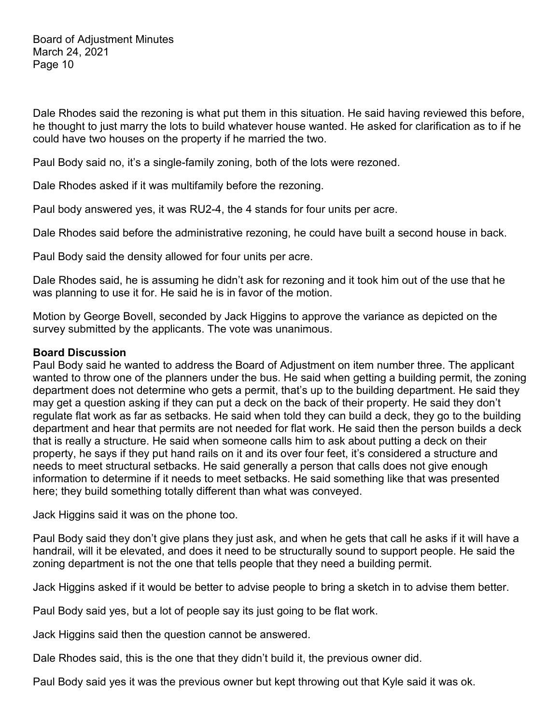Dale Rhodes said the rezoning is what put them in this situation. He said having reviewed this before, he thought to just marry the lots to build whatever house wanted. He asked for clarification as to if he could have two houses on the property if he married the two.

Paul Body said no, it's a single-family zoning, both of the lots were rezoned.

Dale Rhodes asked if it was multifamily before the rezoning.

Paul body answered yes, it was RU2-4, the 4 stands for four units per acre.

Dale Rhodes said before the administrative rezoning, he could have built a second house in back.

Paul Body said the density allowed for four units per acre.

Dale Rhodes said, he is assuming he didn't ask for rezoning and it took him out of the use that he was planning to use it for. He said he is in favor of the motion.

Motion by George Bovell, seconded by Jack Higgins to approve the variance as depicted on the survey submitted by the applicants. The vote was unanimous.

## **Board Discussion**

Paul Body said he wanted to address the Board of Adjustment on item number three. The applicant wanted to throw one of the planners under the bus. He said when getting a building permit, the zoning department does not determine who gets a permit, that's up to the building department. He said they may get a question asking if they can put a deck on the back of their property. He said they don't regulate flat work as far as setbacks. He said when told they can build a deck, they go to the building department and hear that permits are not needed for flat work. He said then the person builds a deck that is really a structure. He said when someone calls him to ask about putting a deck on their property, he says if they put hand rails on it and its over four feet, it's considered a structure and needs to meet structural setbacks. He said generally a person that calls does not give enough information to determine if it needs to meet setbacks. He said something like that was presented here; they build something totally different than what was conveyed.

Jack Higgins said it was on the phone too.

Paul Body said they don't give plans they just ask, and when he gets that call he asks if it will have a handrail, will it be elevated, and does it need to be structurally sound to support people. He said the zoning department is not the one that tells people that they need a building permit.

Jack Higgins asked if it would be better to advise people to bring a sketch in to advise them better.

Paul Body said yes, but a lot of people say its just going to be flat work.

Jack Higgins said then the question cannot be answered.

Dale Rhodes said, this is the one that they didn't build it, the previous owner did.

Paul Body said yes it was the previous owner but kept throwing out that Kyle said it was ok.